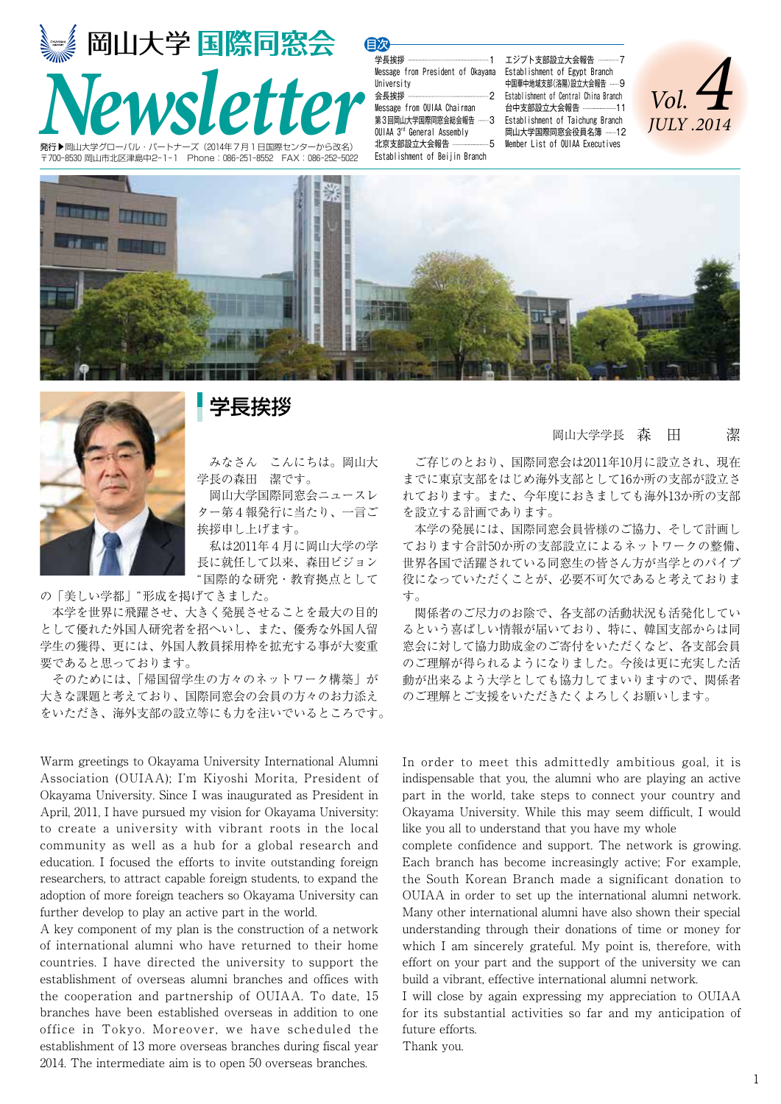

〒700-8530 岡山市北区津島中2-1-1 Phone:086-251-8552 FAX:086-252-5022

学長挨拶 1 Message from President of Okayama University 会長挨拶 2 Message from OUIAA Chairman 目次

第3回岡山大学国際同窓会総会報告 -----3 OUIAA 3rd General Assembly 北京支部設立大会報告 ------------------5 Establishment of Beijin Branch

エジプト支部設立大会報告 … Establishment of Egypt Branch 中国華中地域支部(洛陽)設立大会報告 ……9 Establishment of Central China Branch 台中支部設立大会報告 -----------------11 Establishment of Taichung Branch 岡山大学国際同窓会役員名簿 ……12 Member List of OUIAA Executives







### 学長挨拶

 みなさん こんにちは。岡山大 学長の森田 潔です。

 岡山大学国際同窓会ニュースレ ター第4報発行に当たり、一言ご 挨拶申し上げます。

 私は2011年4月に岡山大学の学 長に就任して以来、森田ビジョン "国際的な研究・教育拠点として

の「美しい学都」"形成を掲げてきました。

 本学を世界に飛躍させ、大きく発展させることを最大の目的 として優れた外国人研究者を招へいし、また、優秀な外国人留 学生の獲得、更には、外国人教員採用枠を拡充する事が大変重 要であると思っております。

 そのためには、「帰国留学生の方々のネットワーク構築」が 大きな課題と考えており、国際同窓会の会員の方々のお力添え をいただき、海外支部の設立等にも力を注いでいるところです。

Warm greetings to Okayama University International Alumni Association (OUIAA); I'm Kiyoshi Morita, President of Okayama University. Since I was inaugurated as President in April, 2011, I have pursued my vision for Okayama University: to create a university with vibrant roots in the local community as well as a hub for a global research and education. I focused the efforts to invite outstanding foreign researchers, to attract capable foreign students, to expand the adoption of more foreign teachers so Okayama University can further develop to play an active part in the world.

A key component of my plan is the construction of a network of international alumni who have returned to their home countries. I have directed the university to support the establishment of overseas alumni branches and offices with the cooperation and partnership of OUIAA. To date, 15 branches have been established overseas in addition to one office in Tokyo. Moreover, we have scheduled the establishment of 13 more overseas branches during fiscal year 2014. The intermediate aim is to open 50 overseas branches.

#### 岡山大学学長 森 田 潔

 ご存じのとおり、国際同窓会は2011年10月に設立され、現在 までに東京支部をはじめ海外支部として16か所の支部が設立さ れております。また、今年度におきましても海外13か所の支部 を設立する計画であります。

 本学の発展には、国際同窓会員皆様のご協力、そして計画し ております合計50か所の支部設立によるネットワークの整備、 世界各国で活躍されている同窓生の皆さん方が当学とのパイプ 役になっていただくことが、必要不可欠であると考えておりま す。

 関係者のご尽力のお陰で、各支部の活動状況も活発化してい るという喜ばしい情報が届いており、特に、韓国支部からは同 窓会に対して協力助成金のご寄付をいただくなど、各支部会員 のご理解が得られるようになりました。今後は更に充実した活 動が出来るよう大学としても協力してまいりますので、関係者 のご理解とご支援をいただきたくよろしくお願いします。

In order to meet this admittedly ambitious goal, it is indispensable that you, the alumni who are playing an active part in the world, take steps to connect your country and Okayama University. While this may seem difficult, I would like you all to understand that you have my whole

complete confidence and support. The network is growing. Each branch has become increasingly active; For example, the South Korean Branch made a significant donation to OUIAA in order to set up the international alumni network. Many other international alumni have also shown their special understanding through their donations of time or money for which I am sincerely grateful. My point is, therefore, with effort on your part and the support of the university we can build a vibrant, effective international alumni network.

I will close by again expressing my appreciation to OUIAA for its substantial activities so far and my anticipation of future efforts.

Thank you.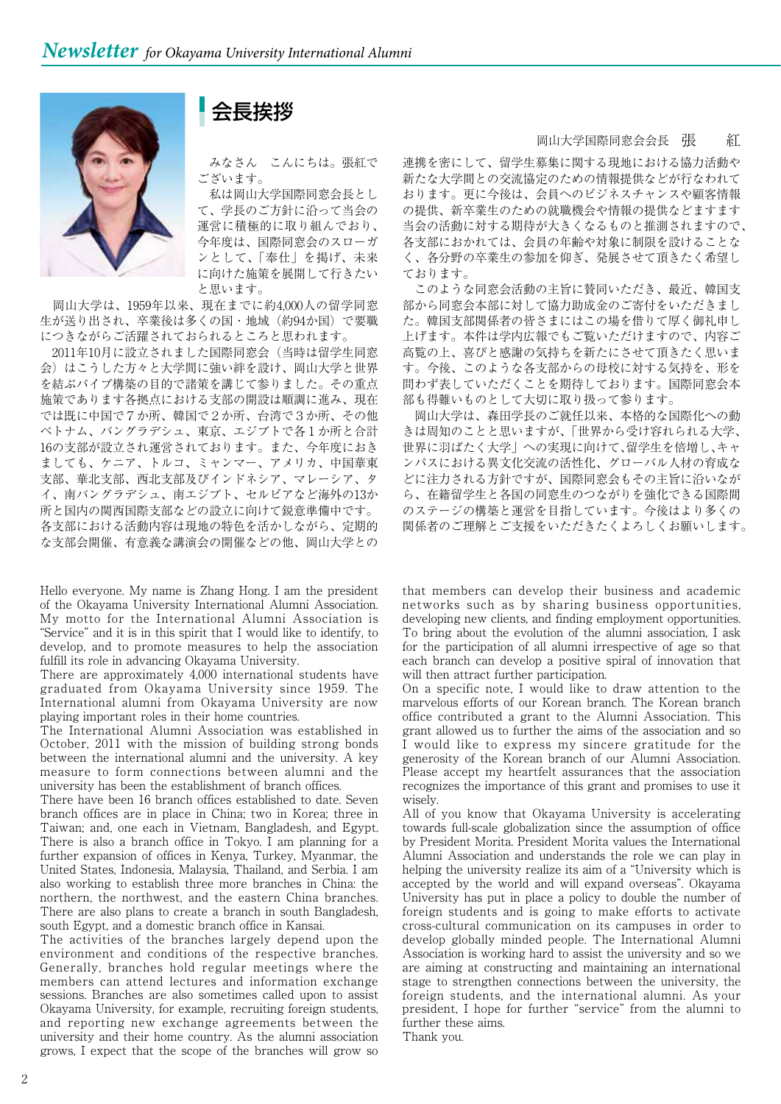会長挨拶

 みなさん こんにちは。張紅で ございます。

 私は岡山大学国際同窓会長とし て、学長のご方針に沿って当会の 運営に積極的に取り組んでおり、 今年度は、国際同窓会のスローガ ンとして、「奉仕」を掲げ、未来 に向けた施策を展開して行きたい と思います。

 岡山大学は、1959年以来、現在までに約4,000人の留学同窓 生が送り出され、卒業後は多くの国・地域(約94か国)で要職 につきながらご活躍されておられるところと思われます。

 2011年10月に設立されました国際同窓会(当時は留学生同窓 会)はこうした方々と大学間に強い絆を設け、岡山大学と世界 を結ぶパイプ構築の目的で諸策を講じて参りました。その重点 施策であります各拠点における支部の開設は順調に進み、現在 では既に中国で7か所、韓国で2か所、台湾で3か所、その他 ベトナム、バングラデシュ、東京、エジブトで各1か所と合計 16の支部が設立され運営されております。また、今年度におき ましても、ケニア、トルコ、ミャンマー、アメリカ、中国華東 支部、華北支部、西北支部及びインドネシア、マレーシア、タ イ、南バングラデシュ、南エジブト、セルビアなど海外の13か 所と国内の関西国際支部などの設立に向けて鋭意準備中です。 各支部における活動内容は現地の特色を活かしながら、定期的 な支部会開催、有意義な講演会の開催などの他、岡山大学との

Hello everyone. My name is Zhang Hong. I am the president of the Okayama University International Alumni Association. My motto for the International Alumni Association is "Service" and it is in this spirit that I would like to identify, to develop, and to promote measures to help the association fulfill its role in advancing Okayama University.

There are approximately 4,000 international students have graduated from Okayama University since 1959. The International alumni from Okayama University are now playing important roles in their home countries.

The International Alumni Association was established in October, 2011 with the mission of building strong bonds between the international alumni and the university. A key measure to form connections between alumni and the university has been the establishment of branch offices.

There have been 16 branch offices established to date. Seven branch offices are in place in China; two in Korea; three in Taiwan; and, one each in Vietnam, Bangladesh, and Egypt. There is also a branch office in Tokyo. I am planning for a further expansion of offices in Kenya, Turkey, Myanmar, the United States, Indonesia, Malaysia, Thailand, and Serbia. I am also working to establish three more branches in China: the northern, the northwest, and the eastern China branches. There are also plans to create a branch in south Bangladesh, south Egypt, and a domestic branch office in Kansai.

The activities of the branches largely depend upon the environment and conditions of the respective branches. Generally, branches hold regular meetings where the members can attend lectures and information exchange sessions. Branches are also sometimes called upon to assist Okayama University, for example, recruiting foreign students, and reporting new exchange agreements between the university and their home country. As the alumni association grows, I expect that the scope of the branches will grow so

#### 岡山大学国際同窓会会長 張 紅

連携を密にして、留学生募集に関する現地における協力活動や 新たな大学間との交流協定のための情報提供などが行なわれて おります。更に今後は、会員へのビジネスチャンスや顧客情報 の提供、新卒業生のための就職機会や情報の提供などますます 当会の活動に対する期待が大きくなるものと推測されますので、 各支部におかれては、会員の年齢や対象に制限を設けることな く、各分野の卒業生の参加を仰ぎ、発展させて頂きたく希望し ております。

 このような同窓会活動の主旨に賛同いただき、最近、韓国支 部から同窓会本部に対して協力助成金のご寄付をいただきまし た。韓国支部関係者の皆さまにはこの場を借りて厚く御礼申し 上げます。本件は学内広報でもご覧いただけますので、内容ご 高覧の上、喜びと感謝の気持ちを新たにさせて頂きたく思いま す。今後、このような各支部からの母校に対する気持を、形を 問わず表していただくことを期待しております。国際同窓会本 部も得難いものとして大切に取り扱って参ります。

 岡山大学は、森田学長のご就任以来、本格的な国際化への動 きは周知のことと思いますが、「世界から受け容れられる大学、 世界に羽ばたく大学」への実現に向けて、留学生を倍増し、キャ ンパスにおける異文化交流の活性化、グローバル人材の育成な どに注力される方針ですが、国際同窓会もその主旨に沿いなが ら、在籍留学生と各国の同窓生のつながりを強化できる国際間 のステージの構築と運営を目指しています。今後はより多くの 関係者のご理解とご支援をいただきたくよろしくお願いします。

that members can develop their business and academic networks such as by sharing business opportunities, developing new clients, and finding employment opportunities. To bring about the evolution of the alumni association, I ask for the participation of all alumni irrespective of age so that each branch can develop a positive spiral of innovation that will then attract further participation.

On a specific note, I would like to draw attention to the marvelous efforts of our Korean branch. The Korean branch office contributed a grant to the Alumni Association. This grant allowed us to further the aims of the association and so I would like to express my sincere gratitude for the generosity of the Korean branch of our Alumni Association. Please accept my heartfelt assurances that the association recognizes the importance of this grant and promises to use it wisely.

All of you know that Okayama University is accelerating towards full-scale globalization since the assumption of office by President Morita. President Morita values the International Alumni Association and understands the role we can play in helping the university realize its aim of a "University which is accepted by the world and will expand overseas". Okayama University has put in place a policy to double the number of foreign students and is going to make efforts to activate cross-cultural communication on its campuses in order to develop globally minded people. The International Alumni Association is working hard to assist the university and so we are aiming at constructing and maintaining an international stage to strengthen connections between the university, the foreign students, and the international alumni. As your president, I hope for further "service" from the alumni to further these aims.

Thank you.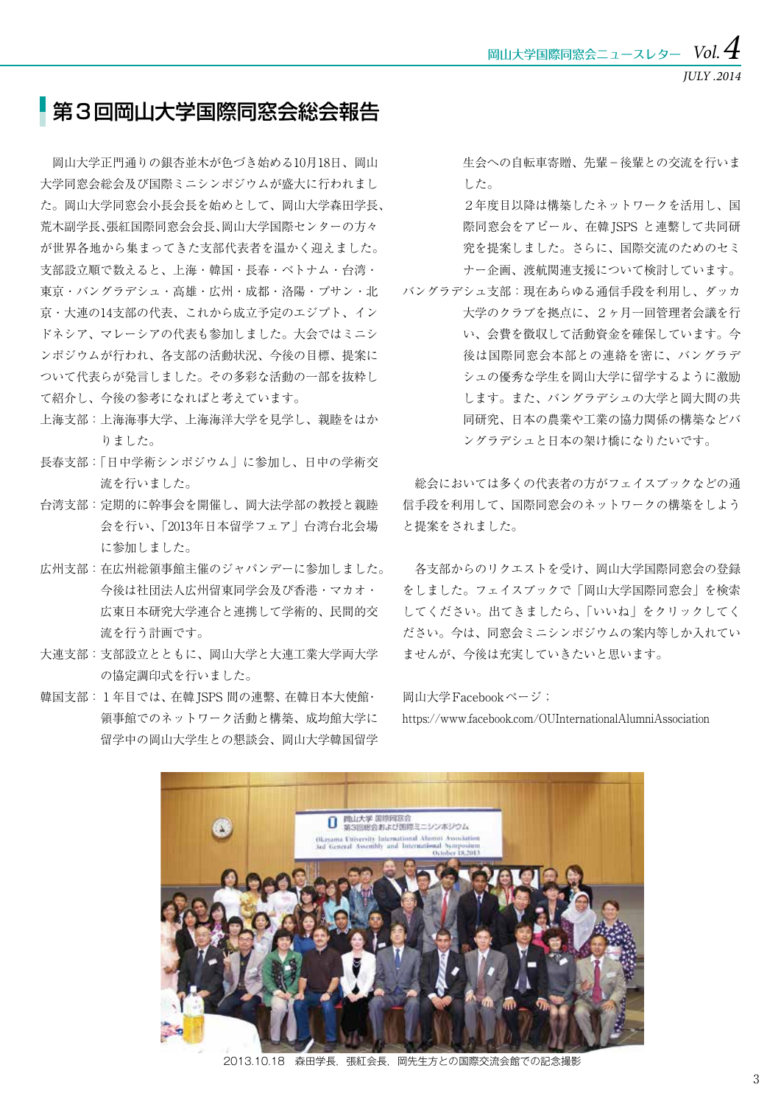*JULY .2014*

### 第3回岡山大学国際同窓会総会報告

 岡山大学正門通りの銀杏並木が色づき始める10月18日、岡山 大学同窓会総会及び国際ミニシンポジウムが盛大に行われまし た。岡山大学同窓会小長会長を始めとして、岡山大学森田学長、 荒木副学長、張紅国際同窓会会長、岡山大学国際センターの方々 が世界各地から集まってきた支部代表者を温かく迎えました。 支部設立順で数えると、上海・韓国・長春・ベトナム・台湾・ 東京・バングラデシュ・高雄・広州・成都・洛陽・プサン・北 京・大連の14支部の代表、これから成立予定のエジプト、イン ドネシア、マレーシアの代表も参加しました。大会ではミニシ ンポジウムが行われ、各支部の活動状況、今後の目標、提案に ついて代表らが発言しました。その多彩な活動の一部を抜粋し て紹介し、今後の参考になればと考えています。

- 上海支部:上海海事大学、上海海洋大学を見学し、親睦をはか りました。
- 長春支部:「日中学術シンポジウム」に参加し、日中の学術交 流を行いました。
- 台湾支部:定期的に幹事会を開催し、岡大法学部の教授と親睦 会を行い、「2013年日本留学フェア」台湾台北会場 に参加しました。
- 広州支部:在広州総領事館主催のジャパンデーに参加しました。 今後は社団法人広州留東同学会及び香港・マカオ・ 広東日本研究大学連合と連携して学術的、民間的交 流を行う計画です。
- 大連支部:支部設立とともに、岡山大学と大連工業大学両大学 の協定調印式を行いました。
- 韓国支部: 1年目では、在韓 ISPS 間の連繋、在韓日本大使館· 領事館でのネットワーク活動と構築、成均館大学に 留学中の岡山大学生との懇談会、岡山大学韓国留学

生会への自転車寄贈、先輩−後輩との交流を行いま した。

 2年度目以降は構築したネットワークを活用し、国 際同窓会をアピール、在韓 ISPS と連繋して共同研 究を提案しました。さらに、国際交流のためのセミ ナー企画、渡航関連支援について検討しています。

バングラデシュ支部:現在あらゆる通信手段を利用し、ダッカ 大学のクラブを拠点に、2ヶ月一回管理者会議を行 い、会費を徴収して活動資金を確保しています。今 後は国際同窓会本部との連絡を密に、バングラデ シュの優秀な学生を岡山大学に留学するように激励 します。また、バングラデシュの大学と岡大間の共 同研究、日本の農業や工業の協力関係の構築などバ ングラデシュと日本の架け橋になりたいです。

 総会においては多くの代表者の方がフェイスブックなどの通 信手段を利用して、国際同窓会のネットワークの構築をしよう と提案をされました。

 各支部からのリクエストを受け、岡山大学国際同窓会の登録 をしました。フェイスブックで「岡山大学国際同窓会」を検索 してください。出てきましたら、「いいね」をクリックしてく ださい。今は、同窓会ミニシンポジウムの案内等しか入れてい ませんが、今後は充実していきたいと思います。

岡山大学Facebookページ;

https://www.facebook.com/OUInternationalAlumniAssociation



2013.10.18 森田学長, 張紅会長, 岡先生方との国際交流会館での記念撮影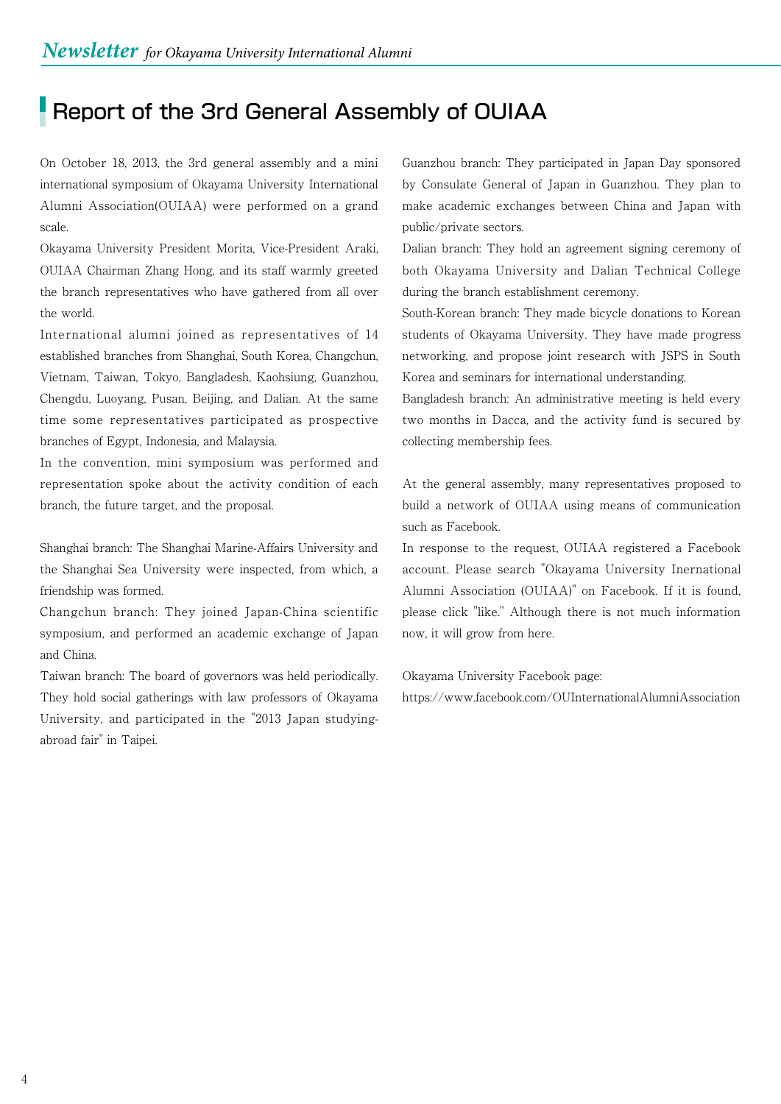## **Report of the 3rd General Assembly of OUIAA**

On October 18, 2013, the 3rd general assembly and a mini international symposium of Okayama University International Alumni Association(OUIAA) were performed on a grand scale.

Okayama University President Morita, Vice-President Araki, OUIAA Chairman Zhang Hong, and its staff warmly greeted the branch representatives who have gathered from all over the world.

International alumni joined as representatives of 14 established branches from Shanghai, South Korea, Changchun, Vietnam, Taiwan, Tokyo, Bangladesh, Kaohsiung, Guanzhou, Chengdu, Luoyang, Pusan, Beijing, and Dalian. At the same time some representatives participated as prospective branches of Egypt, Indonesia, and Malaysia.

In the convention, mini symposium was performed and representation spoke about the activity condition of each branch, the future target, and the proposal.

Shanghai branch: The Shanghai Marine-Affairs University and the Shanghai Sea University were inspected, from which, a friendship was formed.

Changchun branch: They joined Japan-China scientific symposium, and performed an academic exchange of Japan and China.

Taiwan branch: The board of governors was held periodically. They hold social gatherings with law professors of Okayama University, and participated in the "2013 Japan studyingabroad fair" in Taipei.

Guanzhou branch: They participated in Japan Day sponsored by Consulate General of Japan in Guanzhou. They plan to make academic exchanges between China and Japan with public/private sectors.

Dalian branch: They hold an agreement signing ceremony of both Okayama University and Dalian Technical College during the branch establishment ceremony.

South-Korean branch: They made bicycle donations to Korean students of Okayama University. They have made progress networking, and propose joint research with JSPS in South Korea and seminars for international understanding.

Bangladesh branch: An administrative meeting is held every two months in Dacca, and the activity fund is secured by collecting membership fees.

At the general assembly, many representatives proposed to build a network of OUIAA using means of communication such as Facebook.

In response to the request, OUIAA registered a Facebook account. Please search "Okayama University Inernational Alumni Association (OUIAA)" on Facebook. If it is found, please click "like." Although there is not much information now, it will grow from here.

Okayama University Facebook page: https://www.facebook.com/OUInternationalAlumniAssociation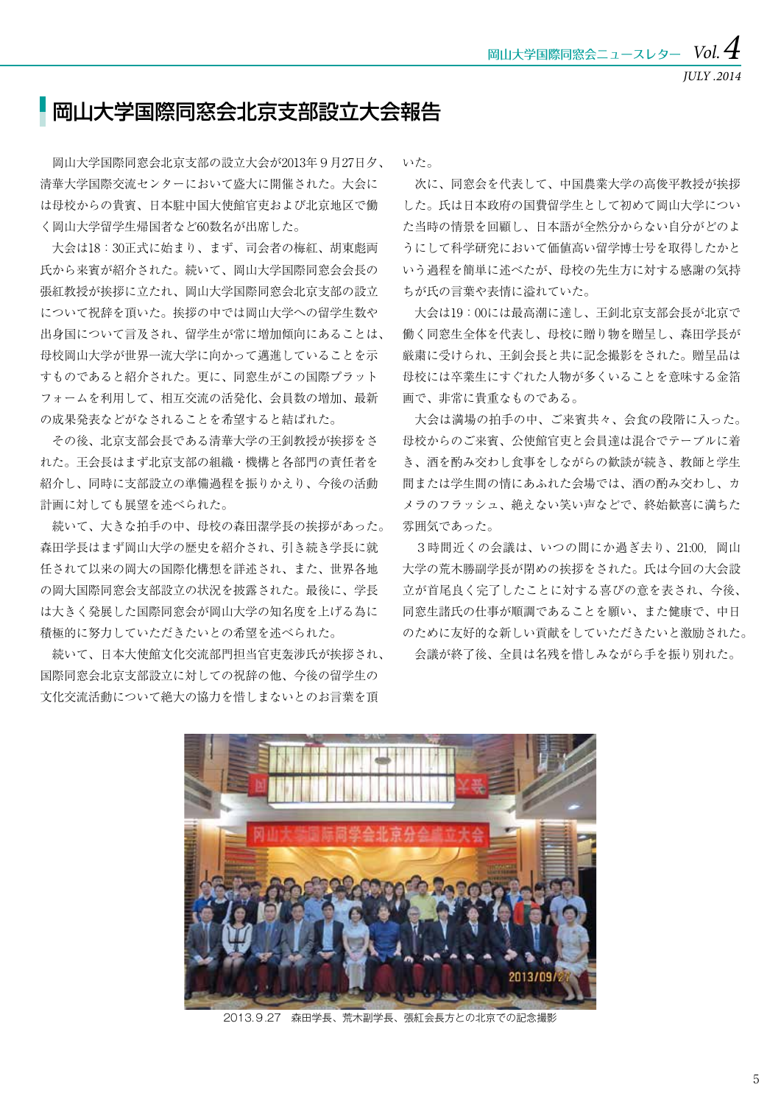*JULY .2014*

### ■岡山大学国際同窓会北京支部設立大会報告

 岡山大学国際同窓会北京支部の設立大会が2013年9月27日夕、 清華大学国際交流センターにおいて盛大に開催された。大会に は母校からの貴賓、日本駐中国大使館官吏および北京地区で働 く岡山大学留学生帰国者など60数名が出席した。

 大会は18:30正式に始まり、まず、司会者の梅紅、胡東彪両 氏から来賓が紹介された。続いて、岡山大学国際同窓会会長の 張紅教授が挨拶に立たれ、岡山大学国際同窓会北京支部の設立 について祝辞を頂いた。挨拶の中では岡山大学への留学生数や 出身国について言及され、留学生が常に増加傾向にあることは、 母校岡山大学が世界一流大学に向かって邁進していることを示 すものであると紹介された。更に、同窓生がこの国際プラット フォームを利用して、相互交流の活発化、会員数の増加、最新 の成果発表などがなされることを希望すると結ばれた。

 その後、北京支部会長である清華大学の王釗教授が挨拶をさ れた。王会長はまず北京支部の組織・機構と各部門の責任者を 紹介し、同時に支部設立の準備過程を振りかえり、今後の活動 計画に対しても展望を述べられた。

 続いて、大きな拍手の中、母校の森田潔学長の挨拶があった。 森田学長はまず岡山大学の歴史を紹介され、引き続き学長に就 任されて以来の岡大の国際化構想を詳述され、また、世界各地 の岡大国際同窓会支部設立の状況を披露された。最後に、学長 は大きく発展した国際同窓会が岡山大学の知名度を上げる為に 積極的に努力していただきたいとの希望を述べられた。

 続いて、日本大使館文化交流部門担当官吏轰涉氏が挨拶され、 国際同窓会北京支部設立に対しての祝辞の他、今後の留学生の 文化交流活動について絶大の協力を惜しまないとのお言葉を頂

いた。

 次に、同窓会を代表して、中国農業大学の高俊平教授が挨拶 した。氏は日本政府の国費留学生として初めて岡山大学につい た当時の情景を回顧し、日本語が全然分からない自分がどのよ うにして科学研究において価値高い留学博士号を取得したかと いう過程を簡単に述べたが、母校の先生方に対する感謝の気持 ちが氏の言葉や表情に溢れていた。

 大会は19:00には最高潮に達し、王釗北京支部会長が北京で 働く同窓生全体を代表し、母校に贈り物を贈呈し、森田学長が 厳粛に受けられ、王釗会長と共に記念撮影をされた。贈呈品は 母校には卒業生にすぐれた人物が多くいることを意味する金箔 画で、非常に貴重なものである。

 大会は満場の拍手の中、ご来賓共々、会食の段階に入った。 母校からのご来賓、公使館官吏と会員達は混合でテーブルに着 き、酒を酌み交わし食事をしながらの歓談が続き、教師と学生 間または学生間の情にあふれた会場では、酒の酌み交わし、カ メラのフラッシュ、絶えない笑い声などで、終始歓喜に満ちた 雰囲気であった。

3時間近くの会議は、いつの間にか過ぎ去り、21:00, 岡山 大学の荒木勝副学長が閉めの挨拶をされた。氏は今回の大会設 立が首尾良く完了したことに対する喜びの意を表され、今後、 同窓生諸氏の仕事が順調であることを願い、また健康で、中日 のために友好的な新しい貢献をしていただきたいと激励された。 会議が終了後、全員は名残を惜しみながら手を振り別れた。



2013.9.27 森田学長、荒木副学長、張紅会長方との北京での記念撮影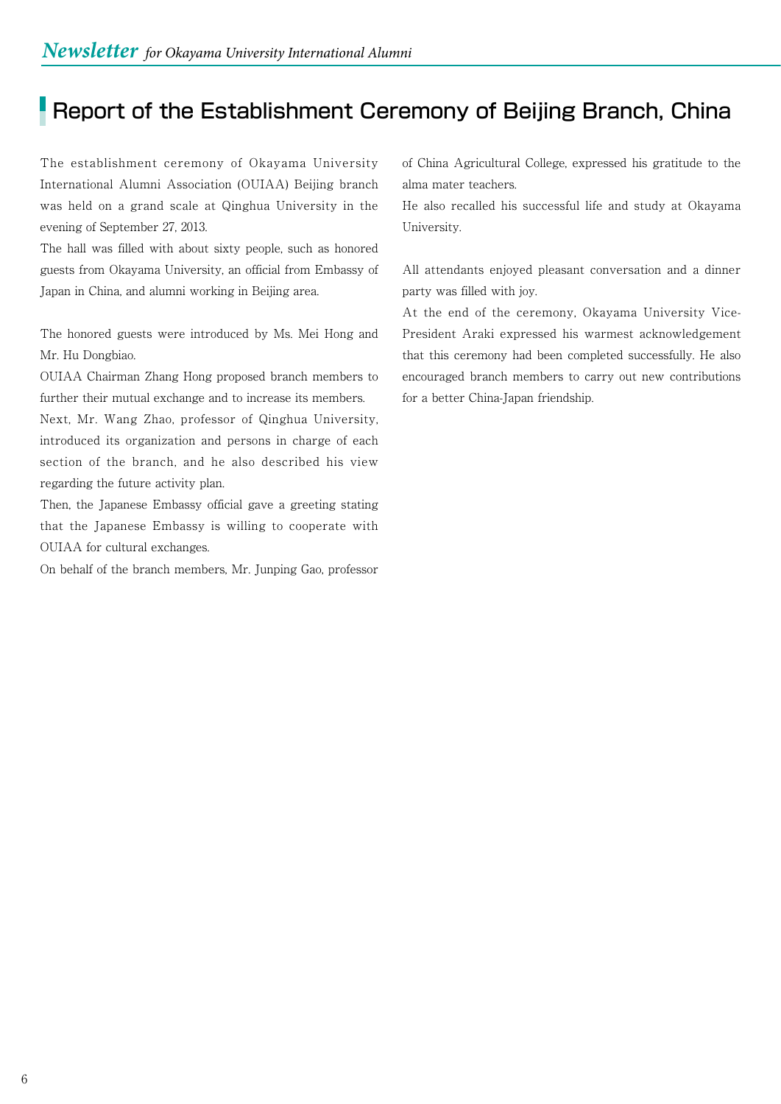# Report of the Establishment Ceremony of Beijing Branch, China

The establishment ceremony of Okayama University International Alumni Association (OUIAA) Beijing branch was held on a grand scale at Qinghua University in the evening of September 27, 2013.

The hall was filled with about sixty people, such as honored guests from Okayama University, an official from Embassy of Japan in China, and alumni working in Beijing area.

The honored guests were introduced by Ms. Mei Hong and Mr. Hu Dongbiao.

OUIAA Chairman Zhang Hong proposed branch members to further their mutual exchange and to increase its members.

Next, Mr. Wang Zhao, professor of Qinghua University, introduced its organization and persons in charge of each section of the branch, and he also described his view regarding the future activity plan.

Then, the Japanese Embassy official gave a greeting stating that the Japanese Embassy is willing to cooperate with OUIAA for cultural exchanges.

On behalf of the branch members, Mr. Junping Gao, professor

of China Agricultural College, expressed his gratitude to the alma mater teachers.

He also recalled his successful life and study at Okayama University.

All attendants enjoyed pleasant conversation and a dinner party was filled with joy.

At the end of the ceremony, Okayama University Vice-President Araki expressed his warmest acknowledgement that this ceremony had been completed successfully. He also encouraged branch members to carry out new contributions for a better China-Japan friendship.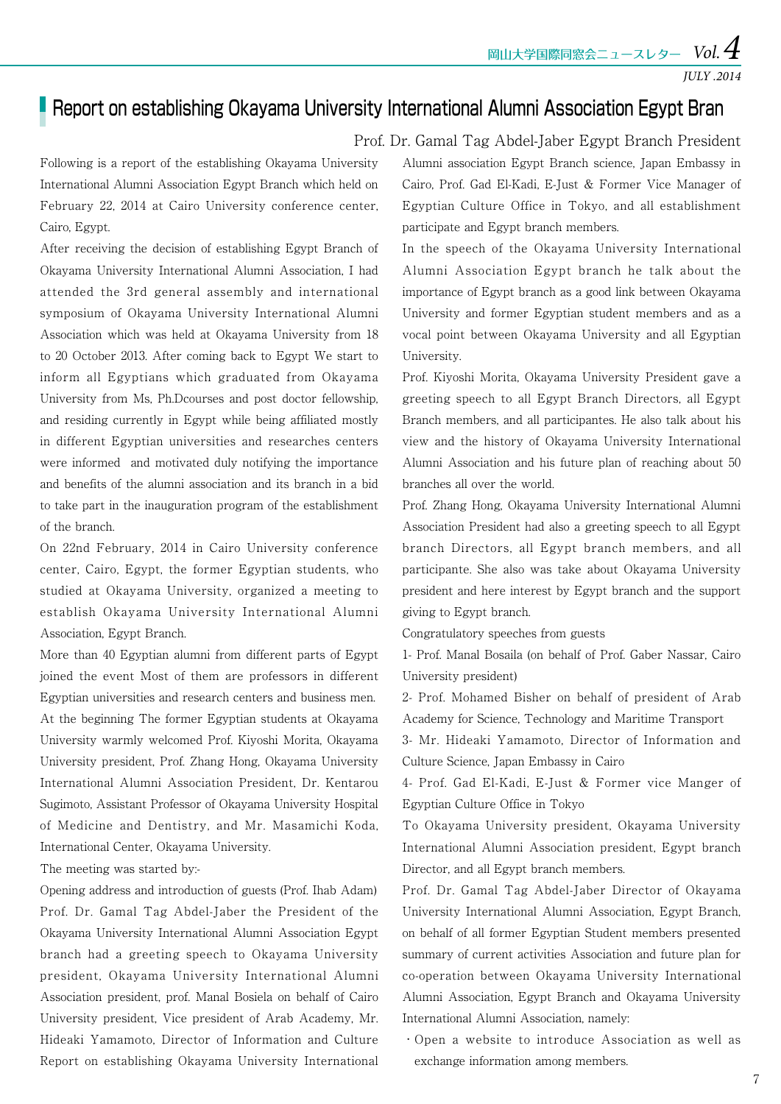$\frac{\text{mul}}{4}$ 国際同窓会ニュースレター  $\textit{Vol}.$ 

### **Report on establishing Okayama University International Alumni Association Egypt Bran**

Prof. Dr. Gamal Tag Abdel-Jaber Egypt Branch President

Following is a report of the establishing Okayama University International Alumni Association Egypt Branch which held on February 22, 2014 at Cairo University conference center, Cairo, Egypt.

After receiving the decision of establishing Egypt Branch of Okayama University International Alumni Association, I had attended the 3rd general assembly and international symposium of Okayama University International Alumni Association which was held at Okayama University from 18 to 20 October 2013. After coming back to Egypt We start to inform all Egyptians which graduated from Okayama University from Ms, Ph.Dcourses and post doctor fellowship, and residing currently in Egypt while being affiliated mostly in different Egyptian universities and researches centers were informed and motivated duly notifying the importance and benefits of the alumni association and its branch in a bid to take part in the inauguration program of the establishment of the branch.

On 22nd February, 2014 in Cairo University conference center, Cairo, Egypt, the former Egyptian students, who studied at Okayama University, organized a meeting to establish Okayama University International Alumni Association, Egypt Branch.

More than 40 Egyptian alumni from different parts of Egypt joined the event Most of them are professors in different Egyptian universities and research centers and business men. At the beginning The former Egyptian students at Okayama University warmly welcomed Prof. Kiyoshi Morita, Okayama University president, Prof. Zhang Hong, Okayama University International Alumni Association President, Dr. Kentarou Sugimoto, Assistant Professor of Okayama University Hospital of Medicine and Dentistry, and Mr. Masamichi Koda, International Center, Okayama University.

The meeting was started by:-

Opening address and introduction of guests (Prof. Ihab Adam) Prof. Dr. Gamal Tag Abdel-Jaber the President of the Okayama University International Alumni Association Egypt branch had a greeting speech to Okayama University president, Okayama University International Alumni Association president, prof. Manal Bosiela on behalf of Cairo University president, Vice president of Arab Academy, Mr. Hideaki Yamamoto, Director of Information and Culture Report on establishing Okayama University International

Alumni association Egypt Branch science, Japan Embassy in Cairo, Prof. Gad El-Kadi, E-Just & Former Vice Manager of Egyptian Culture Office in Tokyo, and all establishment participate and Egypt branch members.

In the speech of the Okayama University International Alumni Association Egypt branch he talk about the importance of Egypt branch as a good link between Okayama University and former Egyptian student members and as a vocal point between Okayama University and all Egyptian University.

Prof. Kiyoshi Morita, Okayama University President gave a greeting speech to all Egypt Branch Directors, all Egypt Branch members, and all participantes. He also talk about his view and the history of Okayama University International Alumni Association and his future plan of reaching about 50 branches all over the world.

Prof. Zhang Hong, Okayama University International Alumni Association President had also a greeting speech to all Egypt branch Directors, all Egypt branch members, and all participante. She also was take about Okayama University president and here interest by Egypt branch and the support giving to Egypt branch.

Congratulatory speeches from guests

1- Prof. Manal Bosaila (on behalf of Prof. Gaber Nassar, Cairo University president)

2- Prof. Mohamed Bisher on behalf of president of Arab Academy for Science, Technology and Maritime Transport

3- Mr. Hideaki Yamamoto, Director of Information and Culture Science, Japan Embassy in Cairo

4- Prof. Gad El-Kadi, E-Just & Former vice Manger of Egyptian Culture Office in Tokyo

To Okayama University president, Okayama University International Alumni Association president, Egypt branch Director, and all Egypt branch members.

Prof. Dr. Gamal Tag Abdel-Jaber Director of Okayama University International Alumni Association, Egypt Branch, on behalf of all former Egyptian Student members presented summary of current activities Association and future plan for co-operation between Okayama University International Alumni Association, Egypt Branch and Okayama University International Alumni Association, namely:

・Open a website to introduce Association as well as exchange information among members.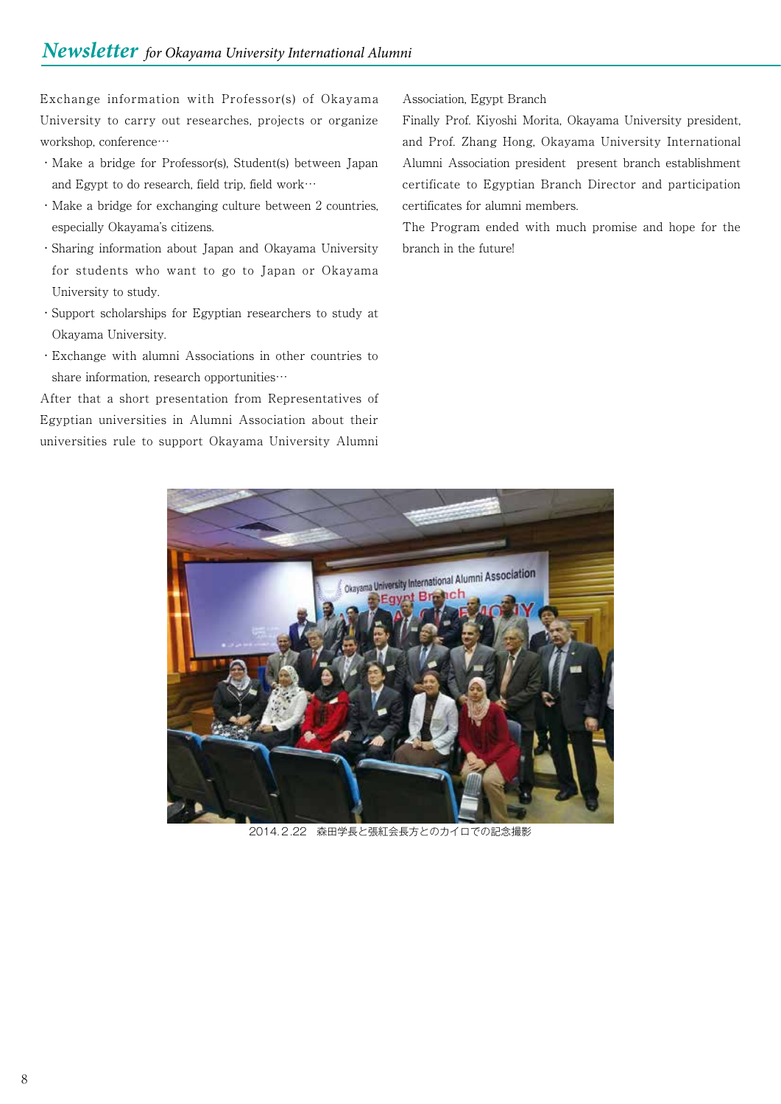Exchange information with Professor(s) of Okayama University to carry out researches, projects or organize workshop, conference…

- ・Make a bridge for Professor(s), Student(s) between Japan and Egypt to do research, field trip, field work…
- ・Make a bridge for exchanging culture between 2 countries, especially Okayama's citizens.
- ・Sharing information about Japan and Okayama University for students who want to go to Japan or Okayama University to study.
- ・Support scholarships for Egyptian researchers to study at Okayama University.
- ・Exchange with alumni Associations in other countries to share information, research opportunities…

After that a short presentation from Representatives of Egyptian universities in Alumni Association about their universities rule to support Okayama University Alumni

#### Association, Egypt Branch

Finally Prof. Kiyoshi Morita, Okayama University president, and Prof. Zhang Hong, Okayama University International Alumni Association president present branch establishment certificate to Egyptian Branch Director and participation certificates for alumni members.

The Program ended with much promise and hope for the branch in the future!



2014.2.22 森田学長と張紅会長方とのカイロでの記念撮影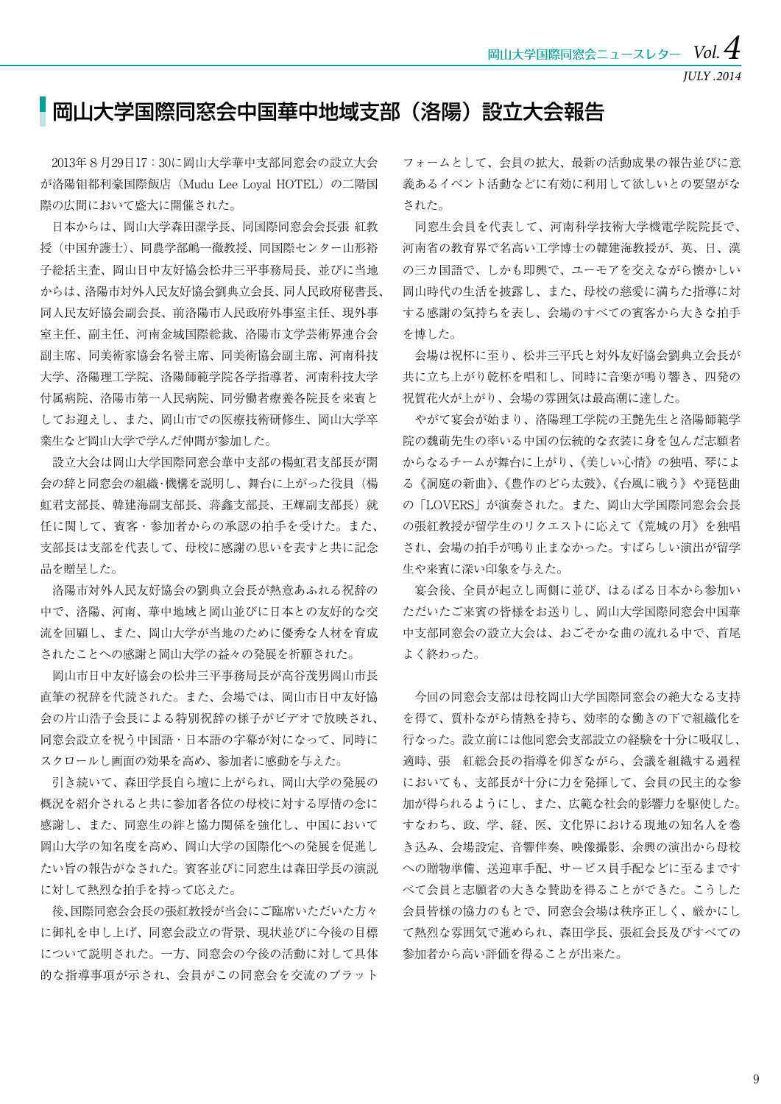### ■岡山大学国際同窓会中国華中地域支部(洛陽)設立大会報告

 2013年8月29日17:30に岡山大学華中支部同窓会の設立大会 が洛陽钼都利豪国際飯店 (Mudu Lee Loyal HOTEL)の二階国 際の広間において盛大に開催された。

 日本からは、岡山大学森田潔学長、同国際同窓会会長張 紅教 授(中国弁護士)、同農学部嶋一徹教授、同国際センター山形裕 子総括主査、岡山日中友好協会松井三平事務局長、並びに当地 からは、洛陽市対外人民友好協会劉典立会長、同人民政府秘書長、 同人民友好協会副会長、前洛陽市人民政府外事室主任、現外事 室主任、副主任、河南金城国際総裁、洛陽市文学芸術界連合会 副主席、同美術家協会名誉主席、同美術協会副主席、河南科技 大学、洛陽理工学院、洛陽師範学院各学指導者、河南科技大学 付属病院、洛陽市第一人民病院、同労働者療養各院長を来賓と してお迎えし、また、岡山市での医療技術研修生、岡山大学卒 業生など岡山大学で学んだ仲間が参加した。

 設立大会は岡山大学国際同窓会華中支部の楊虹君支部長が開 会の辞と同窓会の組織・機構を説明し、舞台に上がった役員(楊 虹君支部長、韓建海副支部長、蒋鑫支部長、王輝副支部長)就 任に関して、賓客・参加者からの承認の拍手を受けた。また、 支部長は支部を代表して、母校に感謝の思いを表すと共に記念 品を贈呈した。

 洛陽市対外人民友好協会の劉典立会長が熱意あふれる祝辞の 中で、洛陽、河南、華中地域と岡山並びに日本との友好的な交 流を回顧し、また、岡山大学が当地のために優秀な人材を育成 されたことへの感謝と岡山大学の益々の発展を祈願された。

 岡山市日中友好協会の松井三平事務局長が高谷茂男岡山市長 直筆の祝辞を代読された。また、会場では、岡山市日中友好協 会の片山浩子会長による特別祝辞の様子がビデオで放映され、 同窓会設立を祝う中国語・日本語の字幕が対になって、同時に スクロールし画面の効果を高め、参加者に感動を与えた。

 引き続いて、森田学長自ら壇に上がられ、岡山大学の発展の 概況を紹介されると共に参加者各位の母校に対する厚情の念に 感謝し、また、同窓生の絆と協力関係を強化し、中国において 岡山大学の知名度を高め、岡山大学の国際化への発展を促進し たい旨の報告がなされた。賓客並びに同窓生は森田学長の演説 に対して熱烈な拍手を持って応えた。

 後、国際同窓会会長の張紅教授が当会にご臨席いただいた方々 に御礼を申し上げ、同窓会設立の背景、現状並びに今後の目標 について説明された。一方、同窓会の今後の活動に対して具体 的な指導事項が示され、会員がこの同窓会を交流のプラット

フォームとして、会員の拡大、最新の活動成果の報告並びに意 義あるイベント活動などに有効に利用して欲しいとの要望がな された。

 同窓生会員を代表して、河南科学技術大学機電学院院長で、 河南省の教育界で名高い工学博士の韓建海教授が、英、日、漢 の三カ国語で、しかも即興で、ユーモアを交えながら懐かしい 岡山時代の生活を披露し、また、母校の慈愛に満ちた指導に対 する感謝の気持ちを表し、会場のすべての賓客から大きな拍手 を博した。

 会場は祝杯に至り、松井三平氏と対外友好協会劉典立会長が 共に立ち上がり乾杯を唱和し、同時に音楽が鳴り響き、四発の 祝賀花火が上がり、会場の雰囲気は最高潮に達した。

 やがて宴会が始まり、洛陽理工学院の王艶先生と洛陽師範学 院の魏萌先生の率いる中国の伝統的な衣装に身を包んだ志願者 からなるチームが舞台に上がり、《美しい心情》の独唱、琴によ る《洞庭の新曲》、《豊作のどら太鼓》、《台風に戦う》や琵琶曲 の「LOVERS」が演奏された。また、岡山大学国際同窓会会長 の張紅教授が留学生のリクエストに応えて《荒城の月》を独唱 され、会場の拍手が鳴り止まなかった。すばらしい演出が留学 生や来賓に深い印象を与えた。

 宴会後、全員が起立し両側に並び、はるばる日本から参加い ただいたご来賓の皆様をお送りし、岡山大学国際同窓会中国華 中支部同窓会の設立大会は、おごそかな曲の流れる中で、首尾 よく終わった。

 今回の同窓会支部は母校岡山大学国際同窓会の絶大なる支持 を得て、質朴ながら情熱を持ち、効率的な働きの下で組織化を 行なった。設立前には他同窓会支部設立の経験を十分に吸収し、 適時、張 紅総会長の指導を仰ぎながら、会議を組織する過程 においても、支部長が十分に力を発揮して、会員の民主的な参 加が得られるようにし、また、広範な社会的影響力を駆使した。 すなわち、政、学、経、医、文化界における現地の知名人を巻 き込み、会場設定、音響伴奏、映像撮影、余興の演出から母校 への贈物準備、送迎車手配、サービス員手配などに至るまです べて会員と志願者の大きな賛助を得ることができた。こうした 会員皆様の協力のもとで、同窓会会場は秩序正しく、厳かにし て熱烈な雰囲気で進められ、森田学長、張紅会長及びすべての 参加者から高い評価を得ることが出来た。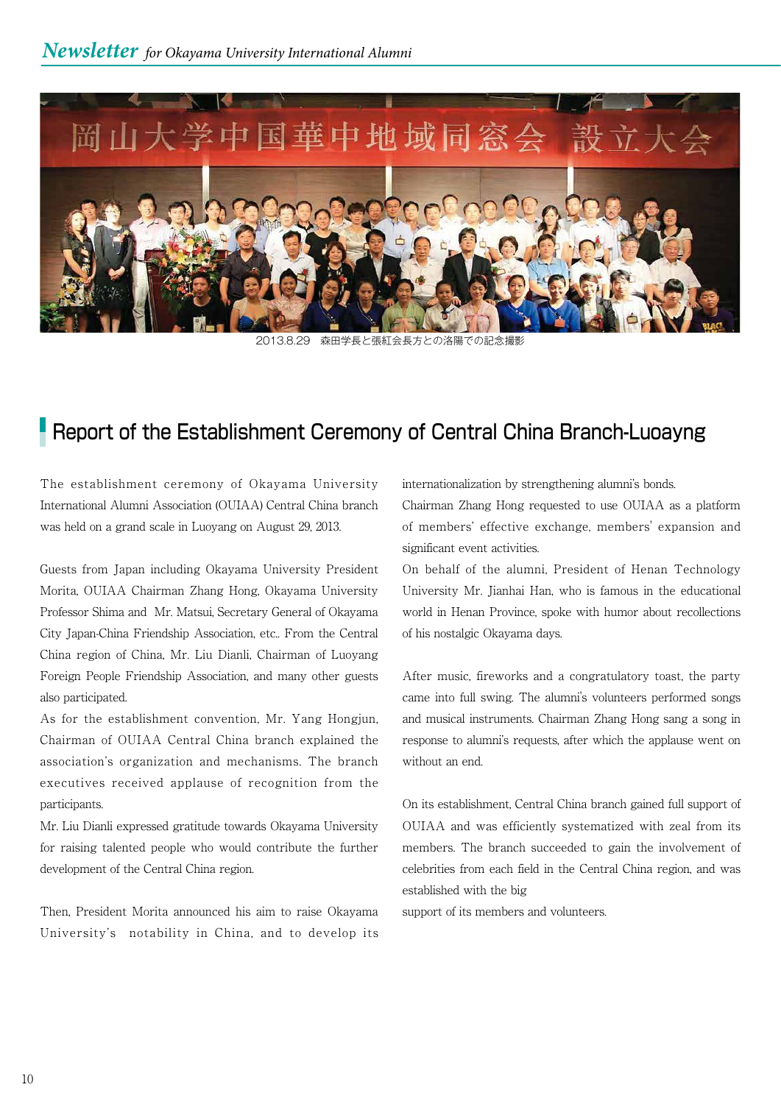

2013.8.29 森田学長と張紅会長方との洛陽での記念撮影

### **Report of the Establishment Ceremony of Central China Branch-Luoayng**

The establishment ceremony of Okayama University International Alumni Association (OUIAA) Central China branch was held on a grand scale in Luoyang on August 29, 2013.

Guests from Japan including Okayama University President Morita, OUIAA Chairman Zhang Hong, Okayama University Professor Shima and Mr. Matsui, Secretary General of Okayama City Japan-China Friendship Association, etc.. From the Central China region of China, Mr. Liu Dianli, Chairman of Luoyang Foreign People Friendship Association, and many other guests also participated.

As for the establishment convention, Mr. Yang Hongjun, Chairman of OUIAA Central China branch explained the association's organization and mechanisms. The branch executives received applause of recognition from the participants.

Mr. Liu Dianli expressed gratitude towards Okayama University for raising talented people who would contribute the further development of the Central China region.

Then, President Morita announced his aim to raise Okayama University's notability in China, and to develop its internationalization by strengthening alumni's bonds.

Chairman Zhang Hong requested to use OUIAA as a platform of members' effective exchange, members' expansion and significant event activities.

On behalf of the alumni, President of Henan Technology University Mr. Jianhai Han, who is famous in the educational world in Henan Province, spoke with humor about recollections of his nostalgic Okayama days.

After music, fireworks and a congratulatory toast, the party came into full swing. The alumni's volunteers performed songs and musical instruments. Chairman Zhang Hong sang a song in response to alumni's requests, after which the applause went on without an end.

On its establishment, Central China branch gained full support of OUIAA and was efficiently systematized with zeal from its members. The branch succeeded to gain the involvement of celebrities from each field in the Central China region, and was established with the big

support of its members and volunteers.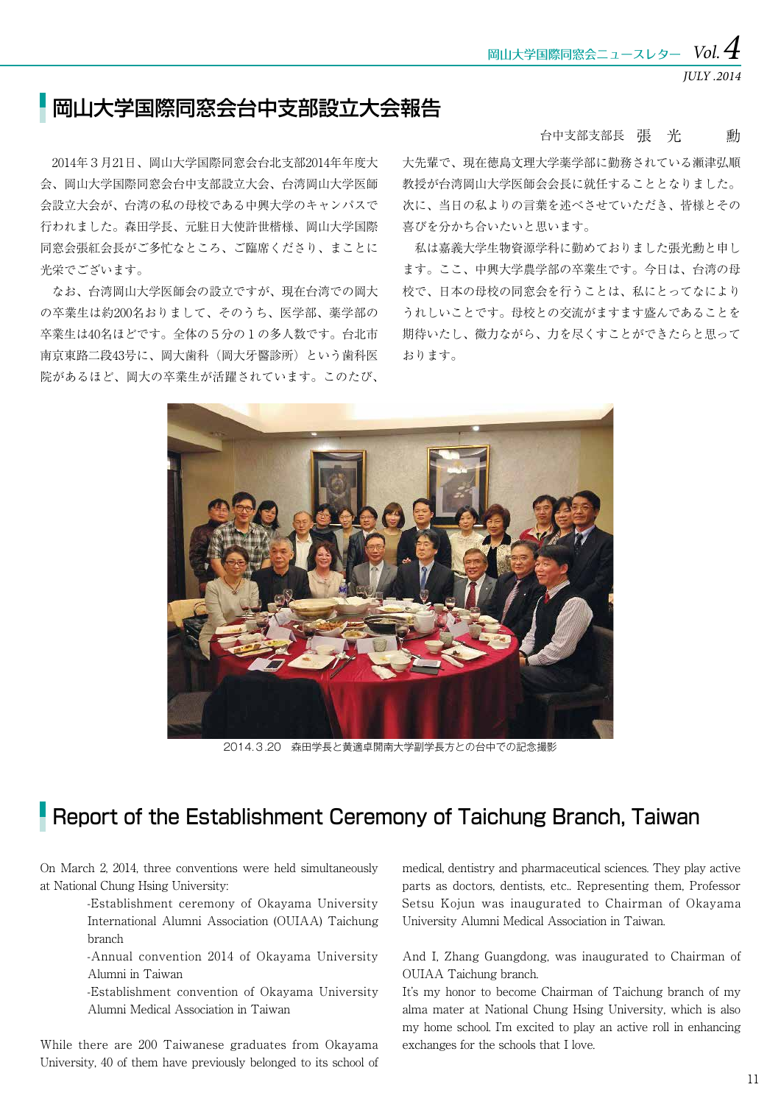*JULY .2014*

## ■岡山大学国際同窓会台中支部設立大会報告

 2014年3月21日、岡山大学国際同窓会台北支部2014年年度大 会、岡山大学国際同窓会台中支部設立大会、台湾岡山大学医師 会設立大会が、台湾の私の母校である中興大学のキャンパスで 行われました。森田学長、元駐日大使許世楷様、岡山大学国際 同窓会張紅会長がご多忙なところ、ご臨席くださり、まことに 光栄でございます。

 なお、台湾岡山大学医師会の設立ですが、現在台湾での岡大 の卒業生は約200名おりまして、そのうち、医学部、薬学部の 卒業生は40名ほどです。全体の5分の1の多人数です。台北市 南京東路二段43号に、岡大歯科(岡大牙醫診所)という歯科医 院があるほど、岡大の卒業生が活躍されています。このたび、

#### 台中支部支部長 張 光 動

大先輩で、現在徳島文理大学薬学部に勤務されている瀬津弘順 教授が台湾岡山大学医師会会長に就任することとなりました。 次に、当日の私よりの言葉を述べさせていただき、皆様とその 喜びを分かち合いたいと思います。

 私は嘉義大学生物資源学科に勤めておりました張光勳と申し ます。ここ、中興大学農学部の卒業生です。今日は、台湾の母 校で、日本の母校の同窓会を行うことは、私にとってなにより うれしいことです。母校との交流がますます盛んであることを 期待いたし、微力ながら、力を尽くすことができたらと思って おります。



2014.3.20 森田学長と黄適卓開南大学副学長方との台中での記念撮影

# Report of the Establishment Ceremony of Taichung Branch, Taiwan

On March 2, 2014, three conventions were held simultaneously at National Chung Hsing University:

> -Establishment ceremony of Okayama University International Alumni Association (OUIAA) Taichung branch

> -Annual convention 2014 of Okayama University Alumni in Taiwan

> -Establishment convention of Okayama University Alumni Medical Association in Taiwan

While there are 200 Taiwanese graduates from Okayama University, 40 of them have previously belonged to its school of

medical, dentistry and pharmaceutical sciences. They play active parts as doctors, dentists, etc.. Representing them, Professor Setsu Kojun was inaugurated to Chairman of Okayama University Alumni Medical Association in Taiwan.

And I, Zhang Guangdong, was inaugurated to Chairman of OUIAA Taichung branch.

It's my honor to become Chairman of Taichung branch of my alma mater at National Chung Hsing University, which is also my home school. I'm excited to play an active roll in enhancing exchanges for the schools that I love.